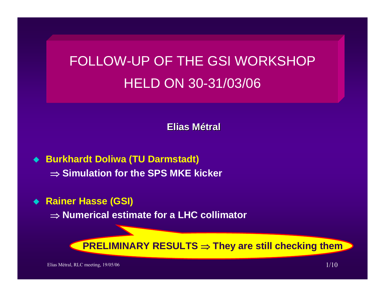# FOLLOW-UP OF THE GSI WORKSHOP HELD ON 30-31/03/06

**Elias Métral**

- ◆ Burkhardt Doliwa (TU Darmstadt) ⇒ **Simulation for the SPS MKE kicker**
- ◆ Rainer Hasse (GSI)

⇒ **Numerical estimate for a LHC collimator**

**PRELIMINARY RESULTS** ⇒ **They are still checking them**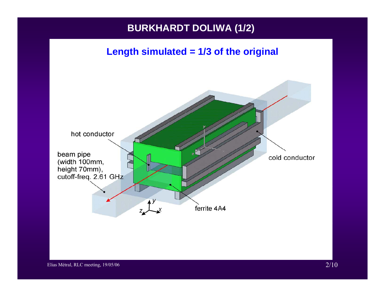# **BURKHARDT DOLIWA (1/2)**

#### **Length simulated = 1/3 of the original**

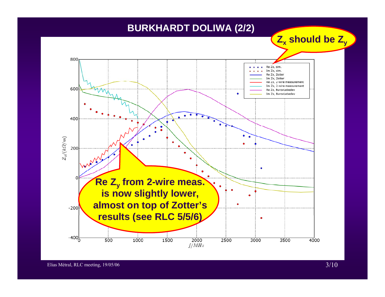### **BURKHARDT DOLIWA (2/2)**

**Zx should be Zy**

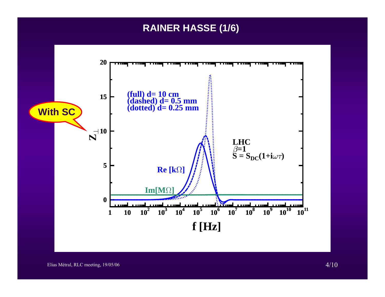### **RAINER HASSE (1/6)**

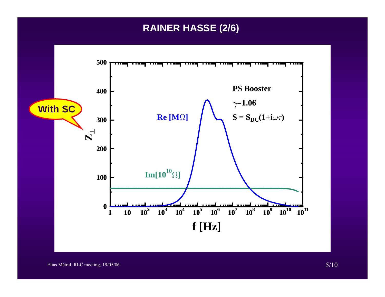## **RAINER HASSE (2/6)**

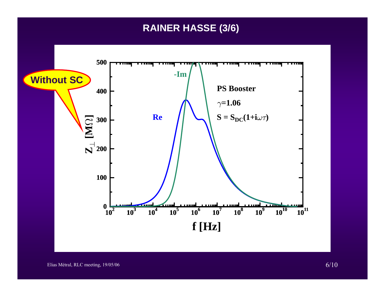### **RAINER HASSE (3/6)**

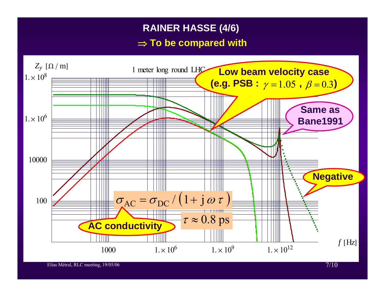## **RAINER HASSE (4/6)**

#### ⇒ **To be compared with**

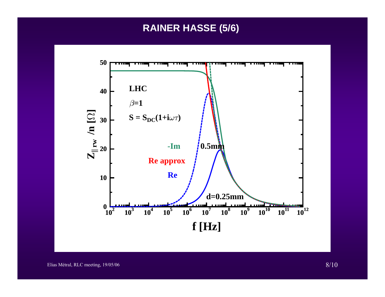### **RAINER HASSE (5/6)**

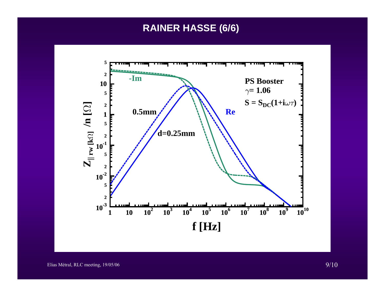# **RAINER HASSE (6/6)**